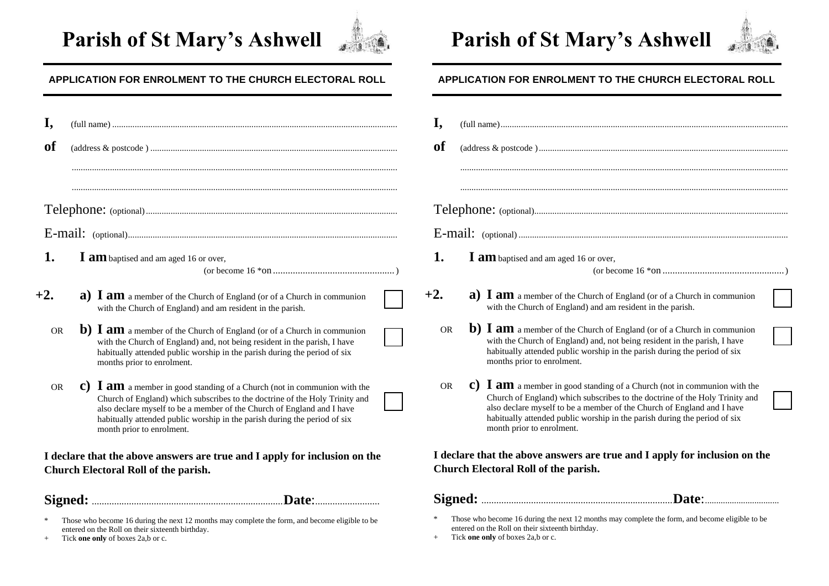## **Parish of St Mary's Ashwell**



#### **APPLICATION FOR ENROLMENT TO THE CHURCH ELECTORAL ROLL**

| l,        |                                       |                                                                                                                                                                                                                                                                                                                       |      |
|-----------|---------------------------------------|-----------------------------------------------------------------------------------------------------------------------------------------------------------------------------------------------------------------------------------------------------------------------------------------------------------------------|------|
| of        |                                       |                                                                                                                                                                                                                                                                                                                       |      |
|           |                                       |                                                                                                                                                                                                                                                                                                                       |      |
|           |                                       |                                                                                                                                                                                                                                                                                                                       | r    |
|           |                                       |                                                                                                                                                                                                                                                                                                                       | I    |
| 1.        | I am baptised and am aged 16 or over, |                                                                                                                                                                                                                                                                                                                       |      |
| $+2.$     |                                       | <b>a)</b> $\mathbf{I}$ <b>am</b> a member of the Church of England (or of a Church in communion<br>with the Church of England) and am resident in the parish.                                                                                                                                                         | $+2$ |
| <b>OR</b> | months prior to enrolment.            | <b>b</b> ) <b>I</b> am a member of the Church of England (or of a Church in communion<br>with the Church of England) and, not being resident in the parish, I have<br>habitually attended public worship in the parish during the period of six                                                                       |      |
| <b>OR</b> | month prior to enrolment.             | <b>c) l am</b> a member in good standing of a Church (not in communion with the<br>Church of England) which subscribes to the doctrine of the Holy Trinity and<br>also declare myself to be a member of the Church of England and I have<br>habitually attended public worship in the parish during the period of six |      |
|           | Church Electoral Roll of the parish.  | I declare that the above answers are true and I apply for inclusion on the                                                                                                                                                                                                                                            |      |

\* Those who become 16 during the next 12 months may complete the form, and become eligible to be entered on the Roll on their sixteenth birthday.

+ Tick **one only** of boxes 2a,b or c.

# **Parish of St Mary's Ashwell**



#### **APPLICATION FOR ENROLMENT TO THE CHURCH ELECTORAL ROLL**

| l,        |                |                                                                                                                                                                                                                                                                                                                                                               |  |
|-----------|----------------|---------------------------------------------------------------------------------------------------------------------------------------------------------------------------------------------------------------------------------------------------------------------------------------------------------------------------------------------------------------|--|
| of        |                |                                                                                                                                                                                                                                                                                                                                                               |  |
|           |                |                                                                                                                                                                                                                                                                                                                                                               |  |
|           |                |                                                                                                                                                                                                                                                                                                                                                               |  |
|           |                |                                                                                                                                                                                                                                                                                                                                                               |  |
| 1.        |                | <b>I</b> am baptised and am aged 16 or over,                                                                                                                                                                                                                                                                                                                  |  |
| $+2.$     |                | <b>a)</b> $\mathbf{I}$ <b>am</b> a member of the Church of England (or of a Church in communion<br>with the Church of England) and am resident in the parish.                                                                                                                                                                                                 |  |
| <b>OR</b> |                | <b>b)</b> $\mathbf{I}$ <b>am</b> a member of the Church of England (or of a Church in communion<br>with the Church of England) and, not being resident in the parish, I have<br>habitually attended public worship in the parish during the period of six<br>months prior to enrolment.                                                                       |  |
| <b>OR</b> |                | <b>c)</b> $\mathbf{I}$ am a member in good standing of a Church (not in communion with the<br>Church of England) which subscribes to the doctrine of the Holy Trinity and<br>also declare myself to be a member of the Church of England and I have<br>habitually attended public worship in the parish during the period of six<br>month prior to enrolment. |  |
|           |                | I declare that the above answers are true and I apply for inclusion on the<br>Church Electoral Roll of the parish.                                                                                                                                                                                                                                            |  |
|           | <b>Signed:</b> | Date:                                                                                                                                                                                                                                                                                                                                                         |  |

- \* Those who become 16 during the next 12 months may complete the form, and become eligible to be entered on the Roll on their sixteenth birthday.
- + Tick **one only** of boxes 2a,b or c.